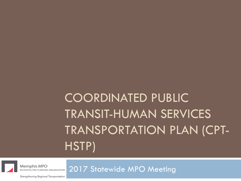# COORDINATED PUBLIC TRANSIT-HUMAN SERVICES TRANSPORTATION PLAN (CPT-HSTP)



2017 Statewide MPO Meeting

Strengthening Regional Transportation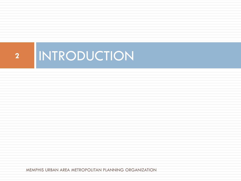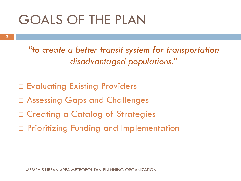## GOALS OF THE PLAN

**3**

*"to create a better transit system for transportation disadvantaged populations."*

- $\Box$  Evaluating Existing Providers
- Assessing Gaps and Challenges
- $\Box$  Creating a Catalog of Strategies
- Prioritizing Funding and Implementation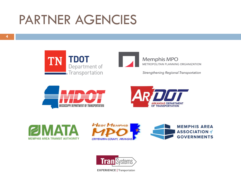### PARTNER AGENCIES

**4**





**Memphis MPO** METROPOLITAN PLANNING ORGANIZATION

Strengthening Regional Transportation











**EXPERIENCE** | Transportation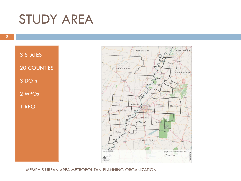### STUDY AREA

3 STATES 20 COUNTIES 3 DOTs 2 MPOs 1 RPO

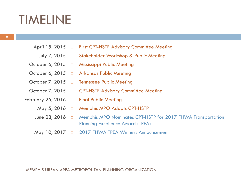### TIMELINE

- April 15, 2015 □ First CPT-HSTP Advisory Committee Meeting
	- July 7, 2015 □ Stakeholder Workshop & Public Meeting
- October 6, 2015 □ Mississippi Public Meeting
- October 6, 2015 □ Arkansas Public Meeting
- October 7, 2015 □ Tennessee Public Meeting
- October 7, 2015 □ CPT-HSTP Advisory Committee Meeting
- February 25, 2016 □ Final Public Meeting
	- May 5, 2016 □ Memphis MPO Adopts CPT-HSTP
	- June 23, 2016  $\quad \Box$  Memphis MPO Nominates CPT-HSTP for 2017 FHWA Transportation Planning Excellence Award (TPEA)
	- 2017 FHWA TPEA Winners Announcement May 10, 2017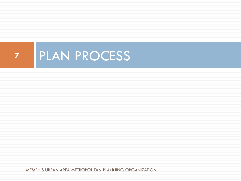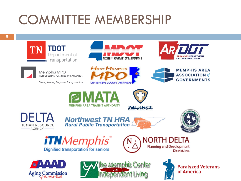# COMMITTEE MEMBERSHIP









Memphis MPO METROPOLITAN PLANNING ORGANIZATION

Strengthening Regional Transportation

























**Paralyzed Veterans** of America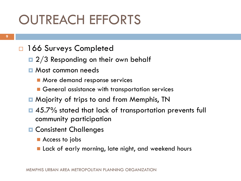# OUTREACH EFFORTS

- □ 166 Surveys Completed
	- $\Box$  2/3 Responding on their own behalf
	- **<u>n</u>** Most common needs
		- **More demand response services**
		- General assistance with transportation services
	- **n** Majority of trips to and from Memphis, TN
	- 45.7% stated that lack of transportation prevents full community participation
	- **O** Consistent Challenges
		- Access to jobs
		- **Lack of early morning, late night, and weekend hours**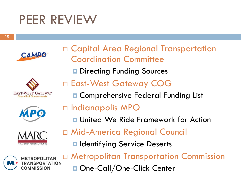### PEER REVIEW

**10**











- $\Box$  Indianapolis MPO
	- **□ United We Ride Framework for Action**
- Mid-America Regional Council
	- $\blacksquare$  Identifying Service Deserts



 Metropolitan Transportation Commission One-Call/One-Click Center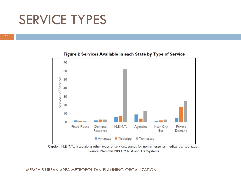### SERVICE TYPES





Caption: N.E.M.T., listed along other types of services, stands for non-emergency medical transportation. Source: Memphis MPO, MATA and TranSystems.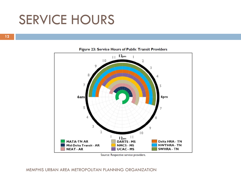### SERVICE HOURS

**12**



#### Figure 23: Service Hours of Public Transit Providers

Source: Respective service providers.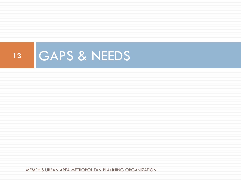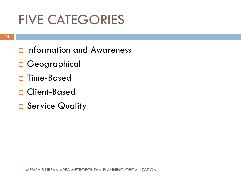## FIVE CATEGORIES

- □ Information and Awareness
- □ Geographical
- □ Time-Based
- □ Client-Based
- □ Service Quality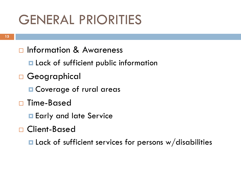## GENERAL PRIORITIES

- □ Information & Awareness
	- **Lack of sufficient public information**
- □ Geographical
	- **Q** Coverage of rural areas
- □ Time-Based
	- **E** Early and late Service
- □ Client-Based
	- $\blacksquare$  Lack of sufficient services for persons w/disabilities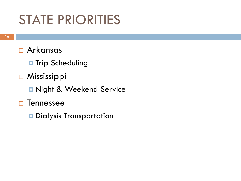## STATE PRIORITIES

- Arkansas
	- $\blacksquare$  **Trip Scheduling**
- □ Mississippi
	- **Rand Service**
- □ Tennessee
	- $\blacksquare$  Dialysis Transportation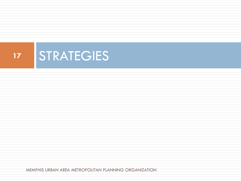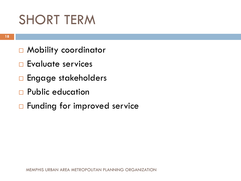## SHORT TERM

- □ Mobility coordinator
- **E**valuate services
- □ Engage stakeholders
- **Q** Public education
- $\Box$  **Funding for improved service**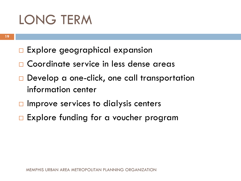## LONG TERM

- $\Box$  Explore geographical expansion
- □ Coordinate service in less dense areas
- □ Develop a one-click, one call transportation information center
- $\Box$  Improve services to dialysis centers
- $\square$  Explore funding for a voucher program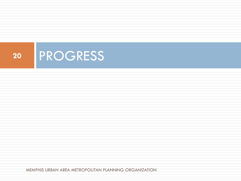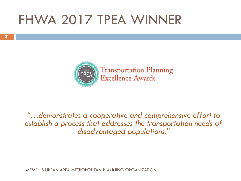### FHWA 2017 TPEA WINNER



*"…demonstrates a cooperative and comprehensive effort to establish a process that addresses the transportation needs of disadvantaged populations."*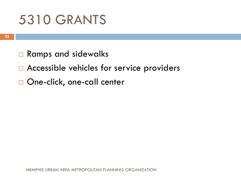## 5310 GRANTS

- □ Ramps and sidewalks
- $\square$  Accessible vehicles for service providers
- □ One-click, one-call center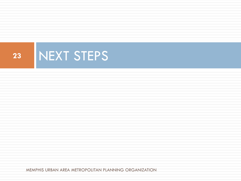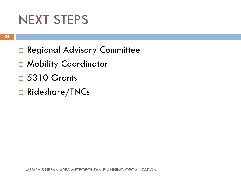### NEXT STEPS

- **Q** Regional Advisory Committee
- □ Mobility Coordinator
- 5310 Grants
- Rideshare/TNCs